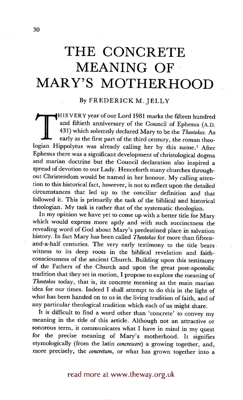# **THE CONCRETE MEANING OF MARY'S MOTHERHOOD**

### By FREDERICK M. JELLY

HIS VERY year of our Lord 1981 marks the fifteen hundred and fiftieth anniversary of the Council of Ephesus (A.D. 431) which solemnly declared Mary to be the *Theotokos.* As early as the first part of the third century, the roman theologian Hippolytus was already calling her by this name.' After Ephesus there was a significant development of christological dogma and marian doctrine but the Council declaration also inspired a spread of devotion to our Lady. Henceforth many churches throughout Christendom would be named in her honour. My calling attention to this historical fact, however, is not to reflect upon the detailed circumstances that led up to the conciliar definition and that followed it. This is primarily the task of the biblical and historical theologian. My task is rather that of the systematic theologian.

In my opinion we have yet to come up with a better title for Mary which would express more aptly and with such succinctness the revealing word of God about Mary's predestined place in salvation history. In fact Mary has been called *Theotokos* for more than fifteenand-a-half centuries. The very early testimony to the title bears. witness to its deep roots in the biblical revelation and faithconsciousness of the ancient Church. Building upon this testimony of the Fathers of the Church and upon the great post-apostolic tradition that they set in motion, I propose to explore the meaning of *Theotokos* today, that is, its concrete meaning as the main marian idea for our times. Indeed I shall attempt to do this in the light of what has been handed on to us in the living tradition of faith, and of any particular theological tradition which each of us might share.

It is difficult to find a word other than 'concrete' to convey my meaning in the title of this article. Although not an attractive or sonorous term, it communicates what I have in mind in my quest for the precise meaning of Mary's motherhood. It signifies etymologically (from the latin *¢oncrescere)* a growing together, and, more precisely, the *¢oncretum,* or what has grown together into a

read more at www.theway.org.uk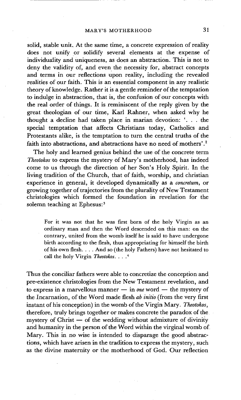solid, stable unit. At the same time, a concrete expression of reality does not unify or solidify several elements at the expense of individuality and Uniqueness, as does an abstraction. This is not to deny the validity of, and even the necessity for, abstract concepts and terms in our reflections upon reality, including the revealed realities of our faith. This is an essential component in any realistic theory of knowledge. Rather it is a gentle reminder of the temptation to indulge in abstraction, that is, the confusion of our concepts with the real order of things. It is reminiscent of the reply given by the great theologian of our time, Karl Rahner, when asked why he thought a decline had taken place in marian devotion: '... the special temptation that affects Christians today, Catholics and Protestants alike, is the temptation to turn the central truths of the faith into abstractions, and abstractions have no need of mothers'.<sup>2</sup>

The holy and learned genius behind the use of the concrete term *Theotokos* to express the mystery of Mary's motherhood, has indeed come to us through the direction of her Son's Holy Spirit. In the living tradition of the Church, that of faith, worship, and christian experience in general, it developed dynamically as a *concretum,* or growing together of trajectories from the plurality of New Testament christologies which formed the foundation in revelation for the solemn teaching at Ephesus:<sup>3</sup>

For it was not that he was first born of the holy Virgin as an ordinary man and then the Word descended on this man: on the contrary, united from the womb itself he is said to have undergone birth according to the flesh, thus appropriating for himself the birth of his own flesh.  $\ldots$  And so (the holy Fathers) have not hesitated to call the holy Virgin *Theotokos .... 4* 

Thus the conciliar fathers were able to concretize the conception and pre-existence christologies from the New Testament revelation, and to express in a marvellous manner -- in *one* word -- the mystery of the Incarnation, of the Word made flesh *ab initio* (from the very first instant of his conception) in the womb of the Virgin Mary. *Theotokos,*  therefore, truly brings together or makes concrete the paradox of the mystery of Christ  $-$  of the wedding without admixture of divinity and humanity in the person of the Word within the virginal womb of Mary. This in no wise is intended to disparage the good abstractions, which have arisen in the tradition to express the mystery, such as the divine maternity or the motherhood of God. Our reflection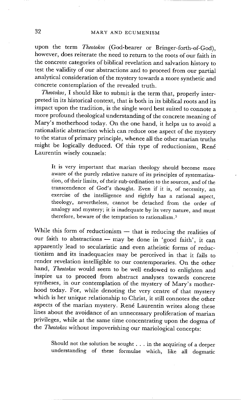upon the term *Theotokos* (God-bearer or Bringer-forth-of-God), however, does reiterate the need to return to the roots of our faith in the concrete categories of biblical revelation and salvation history to test the validity of our abstractions and to proceed from our partial analytical consideration of the mystery towards a more synthetic and concrete contemplation of the revealed truth.

*Theotokos,* I should like to submit is the term that, properly interpreted in its historical context, that is both in its biblical roots and its impact upon the tradition, is the single word best suited to connote a more profound theological understanding of the concrete meaning of Mary's motherhood today. On the one hand, it helps us to avoid a rationalistic abstraction which can reduce one aspect of the mystery to the status of primary principle, whence all the other marian truths might be logically deduced. Of this type of reductionism, René Laurentin wisely counsels:

It is very important that marian theology should become more aware of the purely relative nature of its principles of systematization, of their limits, of their sub-ordination to the sources, and of the transcendence of God's thought. Even if it is, of necessity, an exercise of the intelligence and rightly has a rational aspect, theology, nevertheless, cannot be detached from the order of analogy and mystery; it is inadequate by its very nature, and must therefore, beware of the temptation to rationalism. 5

While this form of reductionism  $-$  that is reducing the realities of our faith to abstractions - may be done in 'good faith', it can apparently lead to secularistic and even atheistic forms of reductionism and its inadequacies may be perceived in that it fails to render revelation intelligible to our contemporaries. On the other hand, *Theotokos* would seem to be well endowed to enlighten and inspire us to proceed from abstract analyses towards concrete syntheses, in our contemplation of the mystery of Mary's motherhood today. For, while denoting the very centre of that mystery which is her unique relationship to Christ, it still connotes the other aspects of the marian mystery. René Laurentin writes along these lines about the avoidance of an unnecessary proliferation of marian privileges, while at the same time concentrating upon the dogma of the *Theotokos* without impoverishing our mariological concepts:

Should not the solution be sought . . . in the acquiring of a deeper understanding of these formulae which, like all dogmatic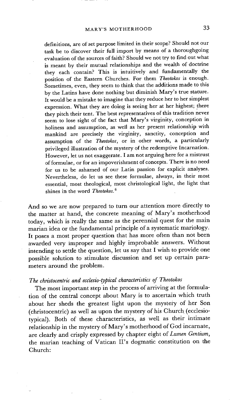definitions, are of set purpose limited in their scope? Should not our task be to discover their full import by means of a thoroughgoing evaluation of the sources of faith? Should we not try to find out what is meant by their mutual relationships and the wealth of doctrine they each contain? This is intuitively and fundamentally the position of the Eastern Churches. For them *Theotokos* is enough. Sometimes, even, they seem to think that the additions made to this by the Latins have done nothing but diminish Mary's true stature. It would be a mistake to imagine that they reduce her to her simplest expression. What they are doing is seeing her at her highest; there they pitch their tent. The best representatives of this tradition never seem to lose sight of the fact that Mary's virginity, conception in holiness and assumption, as well as her present relationship with mankind are precisely the virginity, sanctity, conception and assumption of the *Theotokos,* or in other words, a particularly privileged illustration of the mystery of the redemptive Incarnation. However, let us not exaggerate. I am not arguing here for a mistrust of formulae, or for an impoverishment of concepts. There is no need for us to be ashamed of our Latin passion for explicit analyses. Nevertheless, do let us see these formulae, always, in their most essential, most theological, most christological light, the light that shines in the word *Theotokos. 6* 

And so we are now prepared to turn our attention more directly to the matter at hand, the concrete meaning of Mary's motherhood today, which is really the same as the perennial quest for the main marian idea or the fundamental principle of a systematic mariology. It poses a most proper question that has more often than not been awarded very improper and highly improbable answers. Without intending to settle the question, let us say that I wish to provide one possible solution to stimulate discussion and set up certain parameters around the problem.

## *The christocentric and ecclesio-typical characteristics of Theotokos*

The most important step in the process of arriving at the formulation of the central concept about Mary is to ascertain which truth about her sheds the greatest light upon the mystery of her Son (christoeentric) as well as upon the mystery of his Church (ecclesiotypical). Both of these characteristics, as well as their intimate relationship in the mystery of Mary's motherhood of God incarnate, are clearly and crisply expressed by chapter eight of *Lumen Gentium,*  the marian teaching of Vatican II's dogmatic constitution on the Church: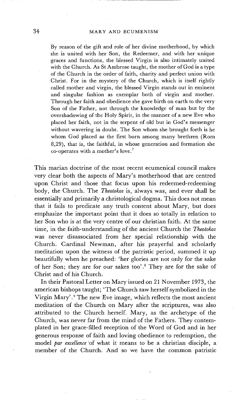#### 34 MARY AND ECUMENISM

By reason of the gift and role of her divine motherhood, by which she is united with her Son, the Redeemer, and with her unique graces and functions, the blessed Virgin is also intimately united with the Church. As St Ambrose taught, the mother of God is a type of the Church in the order of faith, charity and perfect union with Christ. For in the mystery of the Church, which is itself rightly called mother and virgin, the blessed Virgin stands out in eminent and singular fashion as exemplar both of virgin and mother. Through her faith and obedience she gave birth on earth to the very Son of the Father, not through the knowledge of man but by the overshadowing of the Holy Spirit, in the manner of a new Eve who placed her faith, not in the serpent of old but in God's messenger without wavering in doubt. The Son whom she brought forth is he whom God placed as the first born among many brethren (Rom 8,29), that is, the faithful, in whose generation and formation she co-operates with a mother's love. 7

This marian doctrine of the most recent ecumenical council makes very clear both the aspects of Mary's motherhood that are centred upon Christ and those that focus upon his redeemed-redeeming body, the Church. The *Theotokos* is, always was, and ever shall be essentially and primarily a christological dogma. This does not mean that it fails to predicate any truth content about Mary, but does emphasize the important point that it does so totally in relation to her Son who is at the very centre of our christian faith. At the same time, in the faith-understanding of the ancient Church the *Theotokos*  was never disassociated from her special relationship with the Church. Cardinal Newman, after his prayerful and scholarly meditation upon the witness of the patristic period, summed it up beautifully when he preached: 'her glories are not only for the sake of her Son; they are for our sakes too' .8 They are for the sake of Christ and of his Church.

In their Pastoral Letter on Mary issued on 21 November 1973, the american bishops taught; 'The Church saw herself symbolized in the Virgin Mary'.<sup>9</sup> The new Eve image, which reflects the most ancient meditation of the Church on Mary after the scriptures, was also attributed to the Church herself. Mary, as the archetype of the Church, was never far from the mind of the Fathers. They contemplated in her grace-filled reception of the Word of God and in her generous response of faith and loving obedience to redemption, the model *par excellence* "of what it means to be a christian disciple, a member of the Church. And so we have the common patristic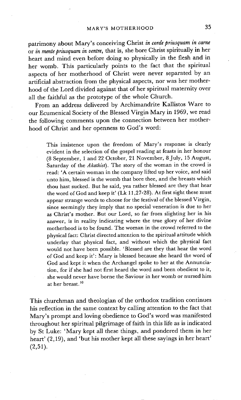patrimony about Mary's conceiving Christ *in corde priusquam in carne*  or *in mente priusquam in ventre,* that is, she bore Christ spiritually in her heart and mind even before doing so physically in the flesh and in her womb. This particularly points to the fact that the spiritual aspects of her motherhood of Christ were never separated by an artificial abstraction from the physical aspects, nor was her motherhood of the Lord divided against that of her spiritual maternity over all the faithful as the prototype of the whole Church.

From an address delivered by Archimandrite Kallistos Ware to our Ecumenical Society of the Blessed Virgin Mary in 1969, we read the following comments upon the connection between her motherhood of Christ and her openness to God's word:

This insistence upon the freedom of Mary's response is clearly evident in the selection of the gospel reading at feasts in her honour (8 September, 1 and 22 October, 21 November, 8 July, 15 August, Saturday of the *Akathist).* The story of the woman in the crowd is read: 'A certain woman in the company lifted up her voice, and said unto him, blessed is the womb that bore thee, and the breasts which thou hast sucked. But he said, yea rather blessed are they that hear the word of God and keep it' (Lk 11,27-28). At first sight these must appear strange words to choose for the testival of the blessed Virgin, since seemingly they imply that no special veneration is due to her as Christ's mother. But our Lord, so far from slighting her in his answer, is in reality indicating where the true glory of her divine motherhood is to be found. The woman in the crowd referred to the physical fact: Christ directed attention to the spiritual attitude which underlay that physical fact, and without which the physical fact would not have been possible. 'Blessed are they that hear the word of God and keep it': Mary is blessed because she heard the word of God and kept it when the Archangel spoke to her at the Annunciation, for if she had not first heard the word and been obedient to it, she would never have borne the Saviour in her womb or nursed him at her breast.<sup>10</sup>

This churchman and theologian of the orthodox tradition continues his reflection in the same context by calling attention to the fact that Mary's prompt and loving obedience to God's word was manifested throughout her spiritual pilgrimage of faith in this life as is indicated by St Luke: 'Mary kept all these things, and pondered them in her heart' (2,19), and 'but his mother kept all these sayings in her heart'  $(2,51)$ .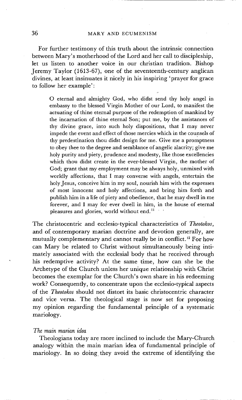#### 36 MARY AND ECUMENISM

For further testimony of this truth about the intrinsic connection between Mary's motherhood of the Lord and her call to discipleship, let us listen to another voice in our christian tradition. Bishop Jeremy Taylor (1613-67), one of the seventeenth-century anglican divines, at least insinuates it nicely in his inspiring 'prayer for grace to follow her example':

O eternal and almighty God, who didst send thy holy angel in embassy to the blessed Virgin Mother of our Lord, to manifest the actuating of thine eternal purpose of the redemption of mankind by the incarnation of thine eternal Son; put me, by the assistances of thy divine grace, into such holy dispositions, that I may never impede the event and effect of those mercies which in the counsels of thy predestination thou didst design for me. Give me a promptness to obey thee to the degree and semblance of angelic alacrity; give me holy purity and piety, prudence and modesty, like those excellencies which thou didst create in the ever-blessed Virgin, the mother of God; grant that my employment may be always holy, unmixed with worldly affections, that I may converse with angels, entertain the holy Jesus, conceive him in my soul, nourish him with the expresses of most innocent and holy affections, and bring him forth and publish him in a life of piety and obedience, that he may dwell in me forever, and I may for ever dwell in him, in the house of eternal pleasures and glories, world without end.<sup>11</sup>

The christocentric and ecclesio-typical characteristics of *Theotokos,*  and of contemporary marian doctrine and devotion generally, are mutually complementary and cannot really be in conflict.<sup>12</sup> For how can Mary be related to Christ without simultaneously being intimately associated with the ecclesial body that he received through his redemptive activity? At the same time, how can she be the Archetype of the Church unless her unique relationship with Christ becomes the exemplar for the Church's own share in his redeeming work? Consequently, to concentrate upon the ecclesio-typical aspects of the *Theotokos* should not distort its basic christocentric character and vice versa. The theological stage is now set for proposing my opinion regarding the fundamental principle of a systematic mariology.

#### *The main marian idea*

Theologians today are more inclined to include the Mary-Church analogy within the main marian idea of fundamental principle of mariology. In so doing, they avoid the extreme of identifying the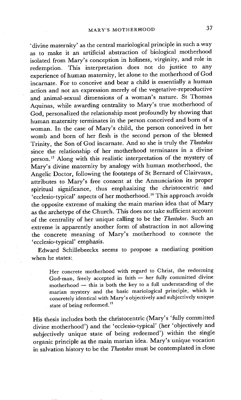'divine maternity' as the central mariological principle in such a way as to make it an artificial abstraction of biological motherhood isolated from Mary's conception in holiness, virginity, and role in redemption. This interpretation does not do justice to any experience of human maternity, let alone to the motherhood of God incarnate. For to conceive and bear a child is essentially a human action and not an expression merely of the vegetative-reproductive and animal-sexual dimensions of a woman's nature. St Thomas Aquinas, while awarding centrality to Mary's true motherhood of God, personalized the relationship most profoundly by showing that human maternity terminates in the person conceived and born of a woman. In the case of Mary's child, the person conceived in her womb and born of her flesh is the second person of the blessed Trinity, the Son of God incarnate. And so she is truly the *Theotokos*  since the relationship of her motherhood terminates in a divine person.13 Along with this realistic interpretation of the mystery of Mary's divine maternity by analogy with human motherhood, the Angelic Doctor, following the footsteps of St Bernard of Clairvaux, attributes to Mary's free consent at the Annunciation its proper spiritual significance, thus emphasizing the christocentric and 'ecclesio-typical' aspects of her motherhood. 14 This approach avoids the opposite extreme of making the main marian idea that of Mary as the archetype of the Church. This does not take sufficient account of the centrality of her unique calling to be the *Theotokos.* Such an extreme is apparently another form of abstraction in not allowing the concrete meaning of Mary's motherhood to connote the 'ecclesio-typical' emphasis.

Edward Schillebeeckx seems to propose a mediating position when he states:

Her concrete motherhood with regard to Christ, the redeeming God-man, freely accepted in faith -- her fully committed divine  $motherhood$  -- this is both the key to a full understanding of the marian mystery and the basic mariological principle, which is concretely identical with Mary's objectively and subjectively unique state of being redeemed.<sup>15</sup>

His thesis includes both the christocentric (Mary's 'fully committed divine motherhood') and the 'ecclesio-typical' (her 'objectively and subjectively unique state of being redeemed') within the single organic principle as the main marian idea. Mary's unique vocation in salvation history to be the *Theotokos* must be contemplated in close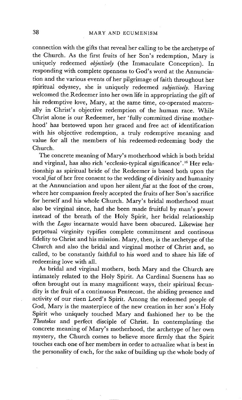connection with the gifts that reveal her calling to be the archetype of the Church. As the first fruits of her Son's redemption, Mary is uniquely redeemed *objectively* (the Immaculate Conception). In responding with complete openness to God's word at the Annunciation and the various events of her pilgrimage of faith throughout her spiritual odyssey, she is uniquely redeemed *subjectively.* Having welcomed the Redeemer into her own life in appropriating the gift of his redemptive love, Mary, at the same time, co-operated maternally in Christ's objective redemption of the human race. While Christ alone is our Redeemer, her 'fully committed divine motherhood' has bestowed upon her graced and free act of identification with his objective redemption, a truly redemptive meaning and value for all the members of his redeemed-redeeming body the Church.

The concrete meaning of Mary's motherhood which is both bridal and virginal, has also rich 'ecclesio-typical significance'.<sup>16</sup> Her relationship as spiritual bride of the Redeemer is based both upon the vocal *fiat* of her free consent to the wedding of divinity and humanity at the Annunciation and upon her *silent fiat* at the foot of the cross, where her compassion freely accepted the fruits of her Son's sacrifice for herself and his whole Church. Mary's bridal motherhood must also be virginal since, had she been made fruitful by man's power instead of the breath of the Holy Spirit, her bridal relationship with the *Logos* incarnate would have been obscured. Likewise her perpetual virginity typifies complete commitment and continous fidelity to Christ and his mission. Mary, then, is the archetype of the Church and also the bridal and virginal mother of Christ and, so called, to be constantly faithful to his word and to share his life of redeeming love with all.

As bridal and virginal mothers, both Mary and the Church are intimately related to the Holy Spirit. As Cardinal Suenens has so often brought out in many magnificent ways, their spiritual fecundity is the fruit of a continuous Pentecost, the abiding presence and activity of our risen Lord's Spirit. Among the redeemed people of God, Mary is the masterpiece of the new creation in her son's Holy Spirit who uniquely touched Mary and fashioned her to be the *Theotokos* and perfect disciple of Christ. In contemplating., the concrete meaning of Mary's motherhood, the archetype of her own mystery, the Church comes to believe more firmly that the Spirit touches each one of her members in order to actualize what is best in the personality of each, for the sake of building up the whole body of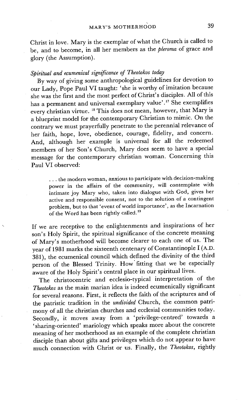Christ in love. Mary is the exemplar of what the Church is called to be, and to become, in all her members as the *pleroma* of grace and glory (the Assumption).

## *Spiritual and ecumenical significance of Theotokos today*

By way of giving some anthropological guidelines for devotion to our Lady, Pope Paul VI taught: 'she is worthy of imitation because she was the first and the most perfect of Christ's disciples. All of this has a permanent and universal exemplary value'.17 She exemplifies every christian virtue. 18 This does not mean, however, that Mary is a blueprint model for the contemporary Christian to mimic. On the contrary we must prayerfully penetrate to the perennial relevance of her faith, hope, love, obedience, courage, fidelity, and concern. And, although her example is universal for all the redeemed members of her Son's Church, Mary does seem to have a special message for the contemporary christian woman. Concerning this Paul VI observed:

**• . .** the modern woman, anxious to participate with decision-making power in the affairs of the community, will contemplate with intimate joy Mary who, taken into dialogue with God, gives her active and responsible consent, not to the solution of a contingent problem, but to that 'event of world importance', as the Incarnation of the Word has been rightly called.<sup>19</sup>

If we are receptive to the enlightenments and inspirations of her son's Holy Spirit, the spiritual significance of the concrete meaning of Mary's motherhood will become clearer to each one of us. The year of 1981 marks the sixteenth centenary of Constantinople I (A.D. 381), the ecumenical council which defined the divinity of the third person of the Blessed Trinity. How fitting that we be especially aware of the Holy Spirit's central place in our spiritual lives.

The christocentric and ecclesio-typical interpretation of the *Theotokos* as the main marian idea is indeed ecumenically significant for several reasons. First, it reflects the faith of the scriptures and of the patristic tradition in the *undivided* Church, the common patrimony of all the christian churches and ecclesial communities today. Secondly, it moves away from a 'privilege-centred' towards a 'sharing-oriented' mariology which speaks more about the concrete meaning of her motherhood as an example of the complete christian disciple than about gifts and privileges which do not appear to have much connection with Christ or us. Finally, the *Theotokos,* rightly